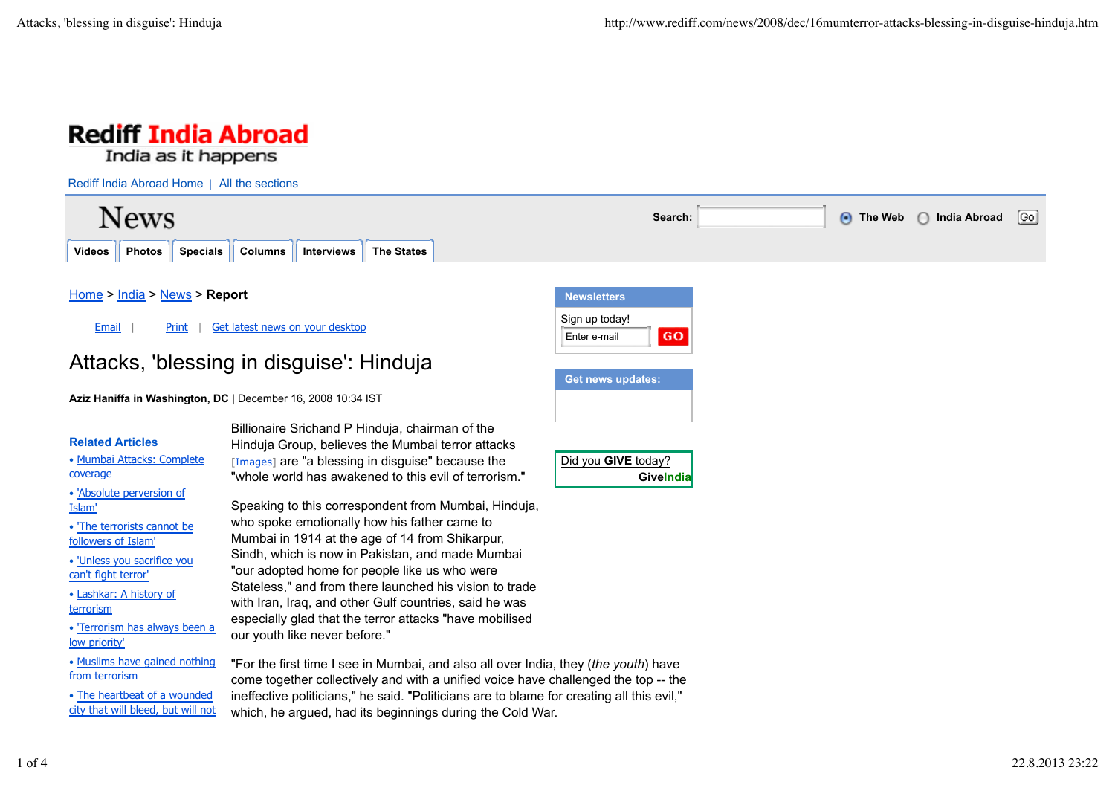

 $\lceil$ Go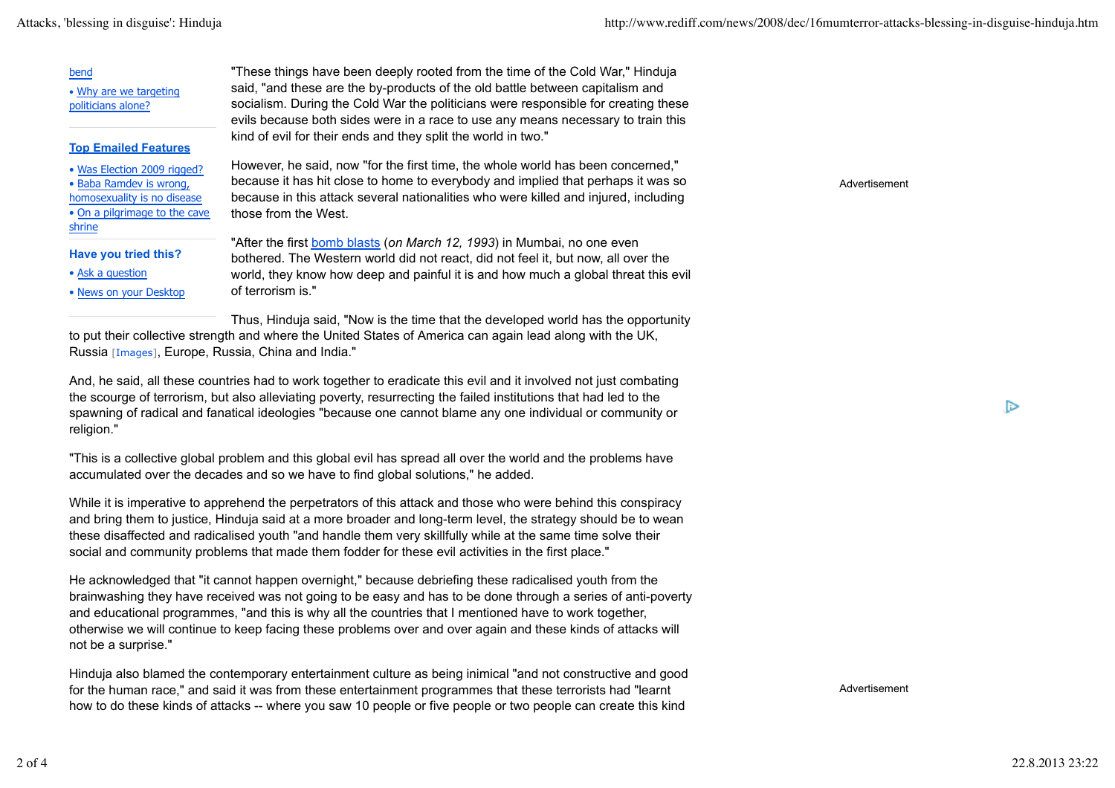## bend

• Why are we targeting politicians alone?

## **Top Emailed Features**

- Was Election 2009 rigged?
- Baba Ramdev is wrong,
- homosexuality is no disease
- On a pilgrimage to the cave shrine

## **Have you tried this?**

- Ask a question
- News on your Desktop

"These things have been deeply rooted from the time of the Cold War," Hinduja said, "and these are the by-products of the old battle between capitalism and socialism. During the Cold War the politicians were responsible for creating these evils because both sides were in a race to use any means necessary to train this kind of evil for their ends and they split the world in two."

However, he said, now "for the first time, the whole world has been concerned," because it has hit close to home to everybody and implied that perhaps it was so because in this attack several nationalities who were killed and injured, including those from the West.

"After the first bomb blasts (*on March 12, 1993*) in Mumbai, no one even bothered. The Western world did not react, did not feel it, but now, all over the world, they know how deep and painful it is and how much a global threat this evil of terrorism is."

Thus, Hinduja said, "Now is the time that the developed world has the opportunity to put their collective strength and where the United States of America can again lead along with the UK, Russia [Images], Europe, Russia, China and India."

And, he said, all these countries had to work together to eradicate this evil and it involved not just combating the scourge of terrorism, but also alleviating poverty, resurrecting the failed institutions that had led to the spawning of radical and fanatical ideologies "because one cannot blame any one individual or community or religion."

"This is a collective global problem and this global evil has spread all over the world and the problems have accumulated over the decades and so we have to find global solutions," he added.

While it is imperative to apprehend the perpetrators of this attack and those who were behind this conspiracy and bring them to justice, Hinduja said at a more broader and long-term level, the strategy should be to wean these disaffected and radicalised youth "and handle them very skillfully while at the same time solve their social and community problems that made them fodder for these evil activities in the first place."

He acknowledged that "it cannot happen overnight," because debriefing these radicalised youth from the brainwashing they have received was not going to be easy and has to be done through a series of anti-poverty and educational programmes, "and this is why all the countries that I mentioned have to work together, otherwise we will continue to keep facing these problems over and over again and these kinds of attacks will not be a surprise."

Hinduja also blamed the contemporary entertainment culture as being inimical "and not constructive and good for the human race," and said it was from these entertainment programmes that these terrorists had "learnt how to do these kinds of attacks -- where you saw 10 people or five people or two people can create this kind

Advertisement

Ռ

Advertisement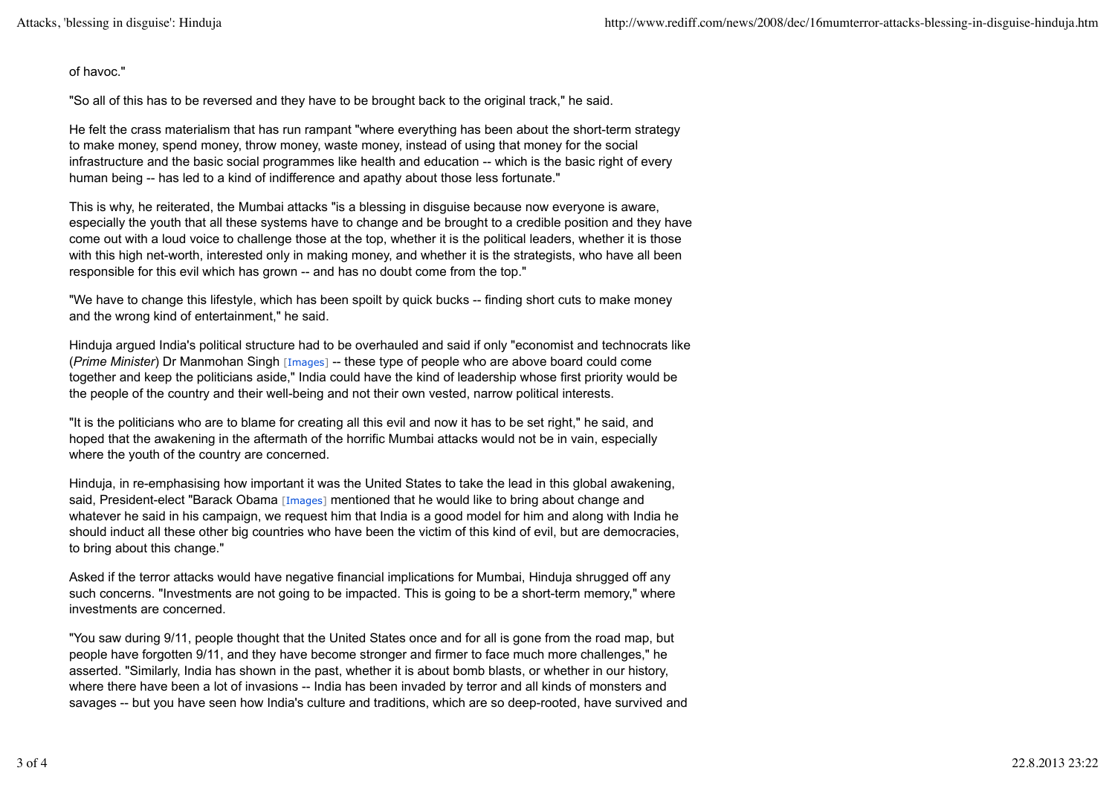of havoc."

"So all of this has to be reversed and they have to be brought back to the original track," he said.

He felt the crass materialism that has run rampant "where everything has been about the short-term strategy to make money, spend money, throw money, waste money, instead of using that money for the social infrastructure and the basic social programmes like health and education -- which is the basic right of every human being -- has led to a kind of indifference and apathy about those less fortunate."

This is why, he reiterated, the Mumbai attacks "is a blessing in disguise because now everyone is aware, especially the youth that all these systems have to change and be brought to a credible position and they have come out with a loud voice to challenge those at the top, whether it is the political leaders, whether it is those with this high net-worth, interested only in making money, and whether it is the strategists, who have all been responsible for this evil which has grown -- and has no doubt come from the top."

"We have to change this lifestyle, which has been spoilt by quick bucks -- finding short cuts to make money and the wrong kind of entertainment," he said.

Hinduja argued India's political structure had to be overhauled and said if only "economist and technocrats like (*Prime Minister*) Dr Manmohan Singh [Images] -- these type of people who are above board could come together and keep the politicians aside," India could have the kind of leadership whose first priority would be the people of the country and their well-being and not their own vested, narrow political interests.

"It is the politicians who are to blame for creating all this evil and now it has to be set right," he said, and hoped that the awakening in the aftermath of the horrific Mumbai attacks would not be in vain, especially where the youth of the country are concerned.

Hinduja, in re-emphasising how important it was the United States to take the lead in this global awakening, said, President-elect "Barack Obama [Images] mentioned that he would like to bring about change and whatever he said in his campaign, we request him that India is a good model for him and along with India he should induct all these other big countries who have been the victim of this kind of evil, but are democracies, to bring about this change."

Asked if the terror attacks would have negative financial implications for Mumbai, Hinduja shrugged off any such concerns. "Investments are not going to be impacted. This is going to be a short-term memory," where investments are concerned.

"You saw during 9/11, people thought that the United States once and for all is gone from the road map, but people have forgotten 9/11, and they have become stronger and firmer to face much more challenges," he asserted. "Similarly, India has shown in the past, whether it is about bomb blasts, or whether in our history, where there have been a lot of invasions -- India has been invaded by terror and all kinds of monsters and savages -- but you have seen how India's culture and traditions, which are so deep-rooted, have survived and